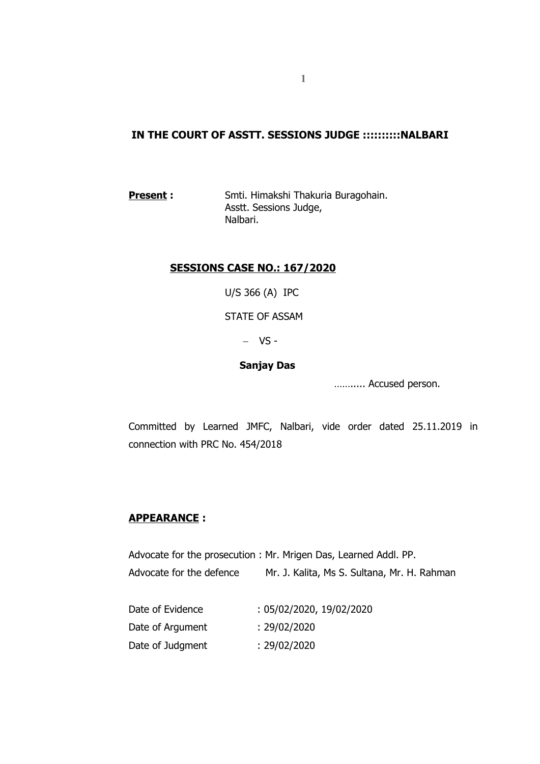# **IN THE COURT OF ASSTT. SESSIONS JUDGE ::::::::::NALBARI**

**Present :** Smti. Himakshi Thakuria Buragohain. Asstt. Sessions Judge, Nalbari.

### **SESSIONS CASE NO.: 167/2020**

U/S 366 (A) IPC

STATE OF ASSAM

 $-VS$ 

#### **Sanjay Das**

……..... Accused person.

Committed by Learned JMFC, Nalbari, vide order dated 25.11.2019 in connection with PRC No. 454/2018

### **APPEARANCE :**

Advocate for the prosecution : Mr. Mrigen Das, Learned Addl. PP. Advocate for the defence Mr. J. Kalita, Ms S. Sultana, Mr. H. Rahman

| Date of Evidence | : 05/02/2020, 19/02/2020 |
|------------------|--------------------------|
| Date of Argument | : 29/02/2020             |
| Date of Judgment | : 29/02/2020             |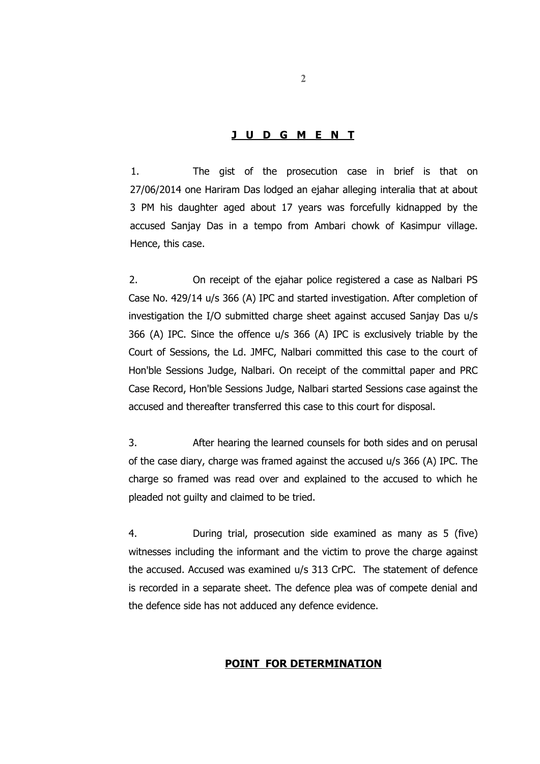#### **J U D G M E N T**

1. The gist of the prosecution case in brief is that on 27/06/2014 one Hariram Das lodged an ejahar alleging interalia that at about 3 PM his daughter aged about 17 years was forcefully kidnapped by the accused Sanjay Das in a tempo from Ambari chowk of Kasimpur village. Hence, this case.

2. On receipt of the ejahar police registered a case as Nalbari PS Case No. 429/14 u/s 366 (A) IPC and started investigation. After completion of investigation the I/O submitted charge sheet against accused Sanjay Das u/s 366 (A) IPC. Since the offence u/s 366 (A) IPC is exclusively triable by the Court of Sessions, the Ld. JMFC, Nalbari committed this case to the court of Hon'ble Sessions Judge, Nalbari. On receipt of the committal paper and PRC Case Record, Hon'ble Sessions Judge, Nalbari started Sessions case against the accused and thereafter transferred this case to this court for disposal.

3. After hearing the learned counsels for both sides and on perusal of the case diary, charge was framed against the accused u/s 366 (A) IPC. The charge so framed was read over and explained to the accused to which he pleaded not guilty and claimed to be tried.

4. During trial, prosecution side examined as many as 5 (five) witnesses including the informant and the victim to prove the charge against the accused. Accused was examined u/s 313 CrPC. The statement of defence is recorded in a separate sheet. The defence plea was of compete denial and the defence side has not adduced any defence evidence.

## **POINT FOR DETERMINATION**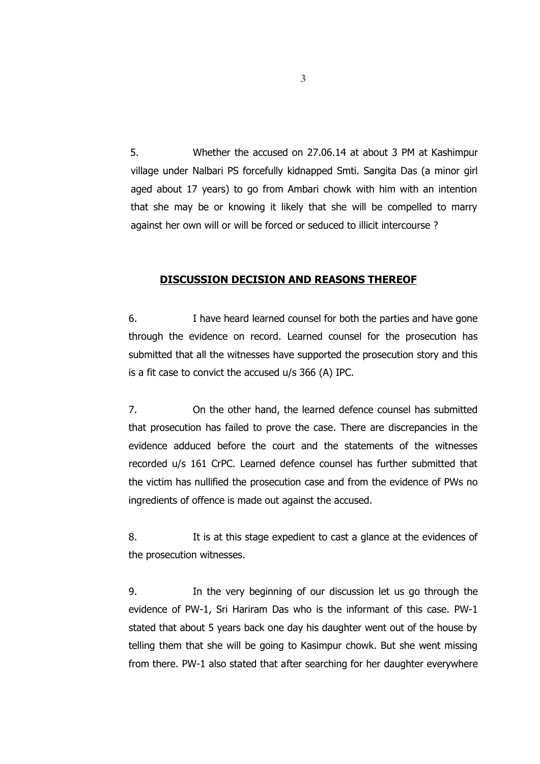5. Whether the accused on 27.06.14 at about 3 PM at Kashimpur village under Nalbari PS forcefully kidnapped Smti. Sangita Das (a minor girl aged about 17 years) to go from Ambari chowk with him with an intention that she may be or knowing it likely that she will be compelled to marry against her own will or will be forced or seduced to illicit intercourse ?

#### **DISCUSSION DECISION AND REASONS THEREOF**

6. I have heard learned counsel for both the parties and have gone through the evidence on record. Learned counsel for the prosecution has submitted that all the witnesses have supported the prosecution story and this is a fit case to convict the accused u/s 366 (A) IPC.

7. On the other hand, the learned defence counsel has submitted that prosecution has failed to prove the case. There are discrepancies in the evidence adduced before the court and the statements of the witnesses recorded u/s 161 CrPC. Learned defence counsel has further submitted that the victim has nullified the prosecution case and from the evidence of PWs no ingredients of offence is made out against the accused.

8. It is at this stage expedient to cast a glance at the evidences of the prosecution witnesses.

9. In the very beginning of our discussion let us go through the evidence of PW-1, Sri Hariram Das who is the informant of this case. PW-1 stated that about 5 years back one day his daughter went out of the house by telling them that she will be going to Kasimpur chowk. But she went missing from there. PW-1 also stated that after searching for her daughter everywhere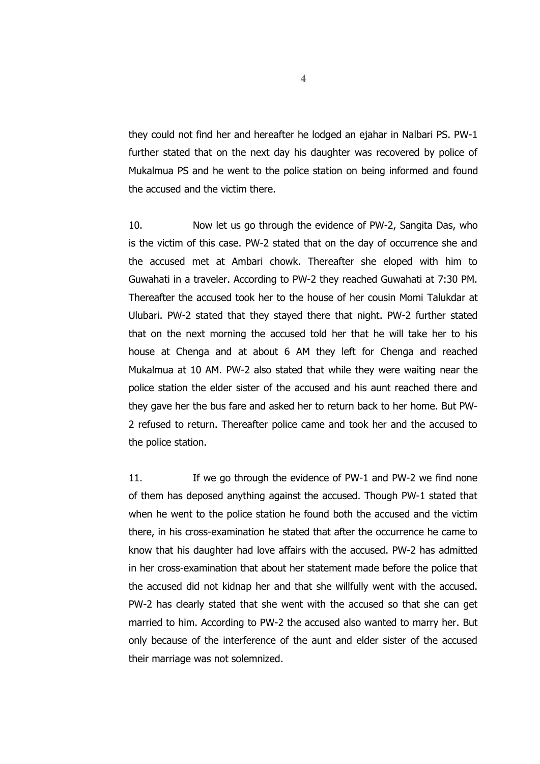they could not find her and hereafter he lodged an ejahar in Nalbari PS. PW-1 further stated that on the next day his daughter was recovered by police of Mukalmua PS and he went to the police station on being informed and found the accused and the victim there.

10. Now let us go through the evidence of PW-2, Sangita Das, who is the victim of this case. PW-2 stated that on the day of occurrence she and the accused met at Ambari chowk. Thereafter she eloped with him to Guwahati in a traveler. According to PW-2 they reached Guwahati at 7:30 PM. Thereafter the accused took her to the house of her cousin Momi Talukdar at Ulubari. PW-2 stated that they stayed there that night. PW-2 further stated that on the next morning the accused told her that he will take her to his house at Chenga and at about 6 AM they left for Chenga and reached Mukalmua at 10 AM. PW-2 also stated that while they were waiting near the police station the elder sister of the accused and his aunt reached there and they gave her the bus fare and asked her to return back to her home. But PW-2 refused to return. Thereafter police came and took her and the accused to the police station.

11. If we go through the evidence of PW-1 and PW-2 we find none of them has deposed anything against the accused. Though PW-1 stated that when he went to the police station he found both the accused and the victim there, in his cross-examination he stated that after the occurrence he came to know that his daughter had love affairs with the accused. PW-2 has admitted in her cross-examination that about her statement made before the police that the accused did not kidnap her and that she willfully went with the accused. PW-2 has clearly stated that she went with the accused so that she can get married to him. According to PW-2 the accused also wanted to marry her. But only because of the interference of the aunt and elder sister of the accused their marriage was not solemnized.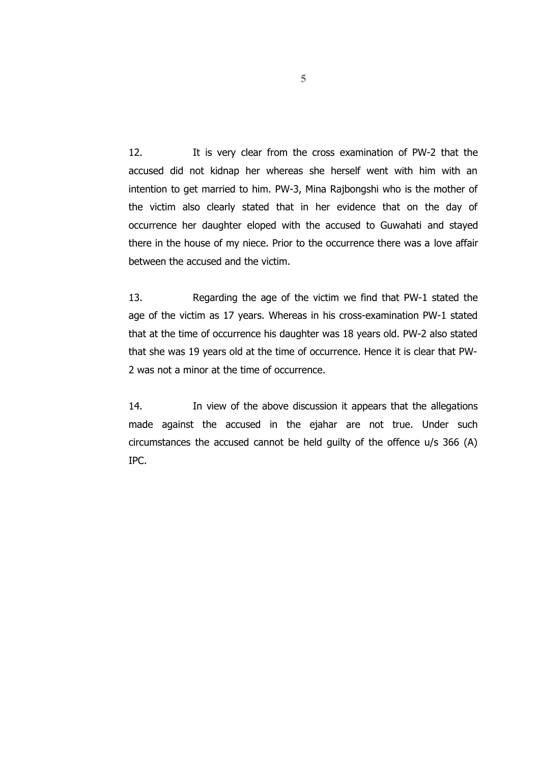12. It is very clear from the cross examination of PW-2 that the accused did not kidnap her whereas she herself went with him with an intention to get married to him. PW-3, Mina Rajbongshi who is the mother of the victim also clearly stated that in her evidence that on the day of occurrence her daughter eloped with the accused to Guwahati and stayed there in the house of my niece. Prior to the occurrence there was a love affair between the accused and the victim.

13. Regarding the age of the victim we find that PW-1 stated the age of the victim as 17 years. Whereas in his cross-examination PW-1 stated that at the time of occurrence his daughter was 18 years old. PW-2 also stated that she was 19 years old at the time of occurrence. Hence it is clear that PW-2 was not a minor at the time of occurrence.

14. In view of the above discussion it appears that the allegations made against the accused in the ejahar are not true. Under such circumstances the accused cannot be held guilty of the offence u/s 366 (A) IPC.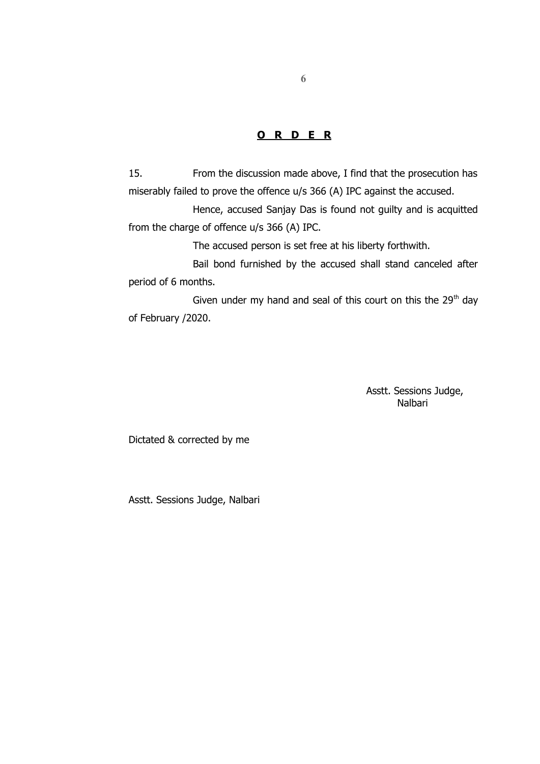## **O R D E R**

15. From the discussion made above, I find that the prosecution has miserably failed to prove the offence u/s 366 (A) IPC against the accused.

Hence, accused Sanjay Das is found not guilty and is acquitted from the charge of offence u/s 366 (A) IPC.

The accused person is set free at his liberty forthwith.

Bail bond furnished by the accused shall stand canceled after period of 6 months.

Given under my hand and seal of this court on this the  $29<sup>th</sup>$  day of February /2020.

> Asstt. Sessions Judge, Nalbari

Dictated & corrected by me

Asstt. Sessions Judge, Nalbari